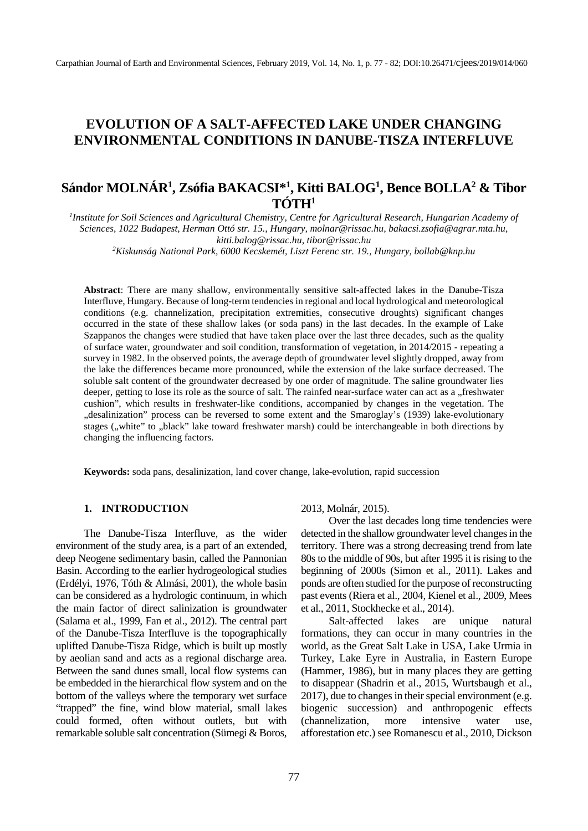# **EVOLUTION OF A SALT-AFFECTED LAKE UNDER CHANGING ENVIRONMENTAL CONDITIONS IN DANUBE-TISZA INTERFLUVE**

# **Sándor MOLNÁR1 , Zsófia BAKACSI\*1 , Kitti BALOG1 , Bence BOLLA2 & Tibor TÓTH1**

<sup>1</sup> Institute for Soil Sciences and Agricultural Chemistry, Centre for Agricultural Research, Hungarian Academy of *Sciences, 1022 Budapest, Herman Ottó str. 15., Hungary, molnar@rissac.hu[, bakacsi.zsofia@agrar.mta.hu,](mailto:bakacsi.zsofia@agrar.mta.hu*) kitti.balog@rissac.hu, tibor@rissac.hu 2 Kiskunság National Park, 6000 Kecskemét, Liszt Ferenc str. 19., Hungary, bollab@knp.hu*

**Abstract**: There are many shallow, environmentally sensitive salt-affected lakes in the Danube-Tisza Interfluve, Hungary. Because of long-term tendencies in regional and local hydrological and meteorological conditions (e.g. channelization, precipitation extremities, consecutive droughts) significant changes occurred in the state of these shallow lakes (or soda pans) in the last decades. In the example of Lake Szappanos the changes were studied that have taken place over the last three decades, such as the quality of surface water, groundwater and soil condition, transformation of vegetation, in 2014/2015 - repeating a survey in 1982. In the observed points, the average depth of groundwater level slightly dropped, away from the lake the differences became more pronounced, while the extension of the lake surface decreased. The soluble salt content of the groundwater decreased by one order of magnitude. The saline groundwater lies deeper, getting to lose its role as the source of salt. The rainfed near-surface water can act as a "freshwater cushion", which results in freshwater-like conditions, accompanied by changes in the vegetation. The "desalinization" process can be reversed to some extent and the Smaroglay's (1939) lake-evolutionary stages ("white" to "black" lake toward freshwater marsh) could be interchangeable in both directions by changing the influencing factors.

**Keywords:** soda pans, desalinization, land cover change, lake-evolution, rapid succession

## **1. INTRODUCTION**

The Danube-Tisza Interfluve, as the wider environment of the study area, is a part of an extended, deep Neogene sedimentary basin, called the Pannonian Basin. According to the earlier hydrogeological studies (Erdélyi, 1976, Tóth & Almási, 2001), the whole basin can be considered as a hydrologic continuum, in which the main factor of direct salinization is groundwater (Salama et al., 1999, Fan et al., 2012). The central part of the Danube-Tisza Interfluve is the topographically uplifted Danube-Tisza Ridge, which is built up mostly by aeolian sand and acts as a regional discharge area. Between the sand dunes small, local flow systems can be embedded in the hierarchical flow system and on the bottom of the valleys where the temporary wet surface "trapped" the fine, wind blow material, small lakes could formed, often without outlets, but with remarkable soluble salt concentration (Sümegi & Boros,

#### 2013, Molnár, 2015).

Over the last decades long time tendencies were detected in the shallow groundwater level changes in the territory. There was a strong decreasing trend from late 80s to the middle of 90s, but after 1995 it is rising to the beginning of 2000s (Simon et al., 2011). Lakes and ponds are often studied for the purpose of reconstructing past events (Riera et al., 2004, Kienel et al., 2009, Mees et al., 2011, Stockhecke et al., 2014).

Salt-affected lakes are unique natural formations, they can occur in many countries in the world, as the Great Salt Lake in USA, Lake Urmia in Turkey, Lake Eyre in Australia, in Eastern Europe (Hammer, 1986), but in many places they are getting to disappear (Shadrin et al., 2015, Wurtsbaugh et al., 2017), due to changes in their special environment (e.g. biogenic succession) and anthropogenic effects (channelization, more intensive water use, afforestation etc.) see Romanescu et al., 2010, Dickson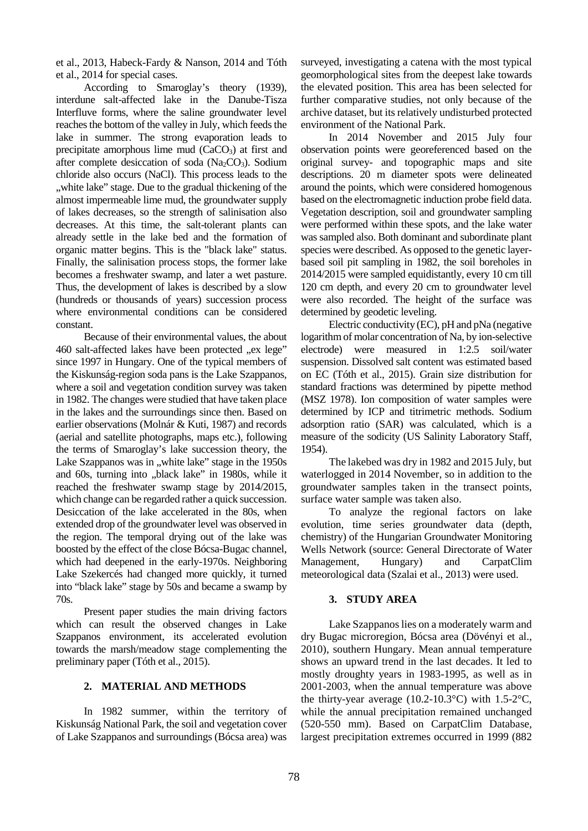et al., 2013, Habeck-Fardy & Nanson, 2014 and Tóth et al., 2014 for special cases.

According to Smaroglay's theory (1939), interdune salt-affected lake in the Danube-Tisza Interfluve forms, where the saline groundwater level reaches the bottom of the valley in July, which feeds the lake in summer. The strong evaporation leads to precipitate amorphous lime mud  $(CaCO<sub>3</sub>)$  at first and after complete desiccation of soda ( $Na<sub>2</sub>CO<sub>3</sub>$ ). Sodium chloride also occurs (NaCl). This process leads to the ", white lake" stage. Due to the gradual thickening of the almost impermeable lime mud, the groundwater supply of lakes decreases, so the strength of salinisation also decreases. At this time, the salt-tolerant plants can already settle in the lake bed and the formation of organic matter begins. This is the "black lake" status. Finally, the salinisation process stops, the former lake becomes a freshwater swamp, and later a wet pasture. Thus, the development of lakes is described by a slow (hundreds or thousands of years) succession process where environmental conditions can be considered constant.

Because of their environmental values, the about 460 salt-affected lakes have been protected "ex lege" since 1997 in Hungary. One of the typical members of the Kiskunság-region soda pans is the Lake Szappanos, where a soil and vegetation condition survey was taken in 1982. The changes were studied that have taken place in the lakes and the surroundings since then. Based on earlier observations (Molnár & Kuti, 1987) and records (aerial and satellite photographs, maps etc.), following the terms of Smaroglay's lake succession theory, the Lake Szappanos was in "white lake" stage in the 1950s and 60s, turning into "black lake" in 1980s, while it reached the freshwater swamp stage by 2014/2015, which change can be regarded rather a quick succession. Desiccation of the lake accelerated in the 80s, when extended drop of the groundwater level was observed in the region. The temporal drying out of the lake was boosted by the effect of the close Bócsa-Bugac channel, which had deepened in the early-1970s. Neighboring Lake Szekercés had changed more quickly, it turned into "black lake" stage by 50s and became a swamp by 70s.

Present paper studies the main driving factors which can result the observed changes in Lake Szappanos environment, its accelerated evolution towards the marsh/meadow stage complementing the preliminary paper (Tóth et al., 2015).

### **2. MATERIAL AND METHODS**

In 1982 summer, within the territory of Kiskunság National Park, the soil and vegetation cover of Lake Szappanos and surroundings (Bócsa area) was

surveyed, investigating a catena with the most typical geomorphological sites from the deepest lake towards the elevated position. This area has been selected for further comparative studies, not only because of the archive dataset, but its relatively undisturbed protected environment of the National Park.

In 2014 November and 2015 July four observation points were georeferenced based on the original survey- and topographic maps and site descriptions. 20 m diameter spots were delineated around the points, which were considered homogenous based on the electromagnetic induction probe field data. Vegetation description, soil and groundwater sampling were performed within these spots, and the lake water was sampled also. Both dominant and subordinate plant species were described. As opposed to the genetic layerbased soil pit sampling in 1982, the soil boreholes in 2014/2015 were sampled equidistantly, every 10 cm till 120 cm depth, and every 20 cm to groundwater level were also recorded. The height of the surface was determined by geodetic leveling.

Electric conductivity (EC), pH and pNa (negative logarithm of molar concentration of Na, by ion-selective electrode) were measured in 1:2.5 soil/water suspension. Dissolved salt content was estimated based on EC (Tóth et al., 2015). Grain size distribution for standard fractions was determined by pipette method (MSZ 1978). Ion composition of water samples were determined by ICP and titrimetric methods. Sodium adsorption ratio (SAR) was calculated, which is a measure of the sodicity (US Salinity Laboratory Staff, 1954).

The lakebed was dry in 1982 and 2015 July, but waterlogged in 2014 November, so in addition to the groundwater samples taken in the transect points, surface water sample was taken also.

To analyze the regional factors on lake evolution, time series groundwater data (depth, chemistry) of the Hungarian Groundwater Monitoring Wells Network (source: [General Directorate of Water](http://www.ovf.hu/en/)  [Management,](http://www.ovf.hu/en/) Hungary) and CarpatClim meteorological data (Szalai et al., 2013) were used.

# **3. STUDY AREA**

Lake Szappanos lies on a moderately warm and dry Bugac microregion, Bócsa area (Dövényi et al., 2010), southern Hungary. Mean annual temperature shows an upward trend in the last decades. It led to mostly droughty years in 1983-1995, as well as in 2001-2003, when the annual temperature was above the thirty-year average  $(10.2-10.3\textdegree\text{C})$  with  $1.5-2\textdegree\text{C}$ , while the annual precipitation remained unchanged (520-550 mm). Based on CarpatClim Database, largest precipitation extremes occurred in 1999 (882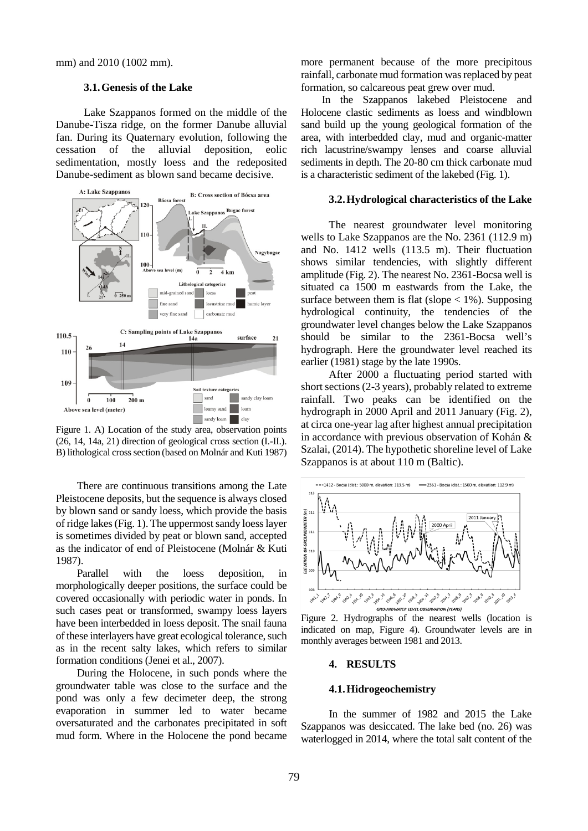mm) and 2010 (1002 mm).

#### **3.1.Genesis of the Lake**

Lake Szappanos formed on the middle of the Danube-Tisza ridge, on the former Danube alluvial fan. During its Quaternary evolution, following the cessation of the alluvial deposition, eolic sedimentation, mostly loess and the redeposited Danube-sediment as blown sand became decisive.



Figure 1. A) Location of the study area, observation points (26, 14, 14a, 21) direction of geological cross section (I.-II.). B) lithological cross section (based on Molnár and Kuti 1987)

There are continuous transitions among the Late Pleistocene deposits, but the sequence is always closed by blown sand or sandy loess, which provide the basis of ridge lakes(Fig. 1). The uppermost sandy loess layer is sometimes divided by peat or blown sand, accepted as the indicator of end of Pleistocene (Molnár & Kuti 1987).

Parallel with the loess deposition, in morphologically deeper positions, the surface could be covered occasionally with periodic water in ponds. In such cases peat or transformed, swampy loess layers have been interbedded in loess deposit. The snail fauna of these interlayers have great ecological tolerance, such as in the recent salty lakes, which refers to similar formation conditions (Jenei et al., 2007).

During the Holocene, in such ponds where the groundwater table was close to the surface and the pond was only a few decimeter deep, the strong evaporation in summer led to water became oversaturated and the carbonates precipitated in soft mud form. Where in the Holocene the pond became

more permanent because of the more precipitous rainfall, carbonate mud formation was replaced by peat formation, so calcareous peat grew over mud.

In the Szappanos lakebed Pleistocene and Holocene clastic sediments as loess and windblown sand build up the young geological formation of the area, with interbedded clay, mud and organic-matter rich lacustrine/swampy lenses and coarse alluvial sediments in depth. The 20-80 cm thick carbonate mud is a characteristic sediment of the lakebed (Fig. 1).

# **3.2.Hydrological characteristics of the Lake**

The nearest groundwater level monitoring wells to Lake Szappanos are the No. 2361 (112.9 m) and No. 1412 wells (113.5 m). Their fluctuation shows similar tendencies, with slightly different amplitude (Fig. 2). The nearest No. 2361-Bocsa well is situated ca 1500 m eastwards from the Lake, the surface between them is flat (slope  $< 1\%$ ). Supposing hydrological continuity, the tendencies of the groundwater level changes below the Lake Szappanos should be similar to the 2361-Bocsa well's hydrograph. Here the groundwater level reached its earlier (1981) stage by the late 1990s.

After 2000 a fluctuating period started with short sections (2-3 years), probably related to extreme rainfall. Two peaks can be identified on the hydrograph in 2000 April and 2011 January (Fig. 2), at circa one-year lag after highest annual precipitation in accordance with previous observation of Kohán & Szalai, (2014). The hypothetic shoreline level of Lake Szappanos is at about 110 m (Baltic).



Figure 2. Hydrographs of the nearest wells (location is indicated on map, Figure 4). Groundwater levels are in monthly averages between 1981 and 2013.

### **4. RESULTS**

### **4.1.Hidrogeochemistry**

In the summer of 1982 and 2015 the Lake Szappanos was desiccated. The lake bed (no. 26) was waterlogged in 2014, where the total salt content of the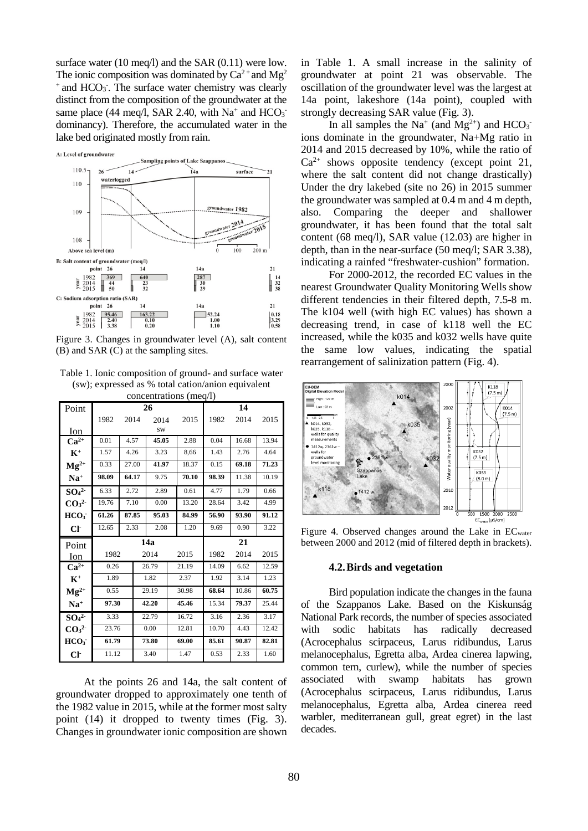surface water (10 meq/l) and the SAR (0.11) were low. The ionic composition was dominated by  $Ca^{2+}$  and  $Mg^{2}$ <sup>+</sup> and HCO<sub>3</sub>. The surface water chemistry was clearly distinct from the composition of the groundwater at the same place (44 meq/l, SAR 2.40, with  $Na^+$  and  $HCO_3^$ dominancy). Therefore, the accumulated water in the lake bed originated mostly from rain.



Figure 3. Changes in groundwater level (A), salt content (B) and SAR (C) at the sampling sites.

Table 1. Ionic composition of ground- and surface water (sw); expressed as % total cation/anion equivalent concentrations (meq/l)

| CONCENTRATIONS (THEY/I)      |       |       |       |       |       |       |       |       |       |  |
|------------------------------|-------|-------|-------|-------|-------|-------|-------|-------|-------|--|
| Point                        |       |       | 26    |       |       | 14    |       |       |       |  |
|                              | 1982  | 2014  |       | 2014  |       | 2015  | 1982  | 2014  | 2015  |  |
| Ion                          | sw    |       |       |       |       |       |       |       |       |  |
| $Ca^{2+}$                    | 0.01  | 4.57  |       | 45.05 |       | 2.88  | 0.04  | 16.68 | 13.94 |  |
| $K^+$                        | 1.57  | 4.26  |       | 3.23  |       | 8,66  | 1.43  | 2.76  | 4.64  |  |
| $Mg^{2+}$                    | 0.33  | 27.00 |       | 41.97 |       | 18.37 | 0.15  | 69.18 | 71.23 |  |
| $Na+$                        | 98.09 | 64.17 |       | 9.75  |       | 70.10 | 98.39 | 11.38 | 10.19 |  |
| SO <sub>4</sub> <sup>2</sup> | 6.33  | 2.72  |       | 2.89  |       | 0.61  | 4.77  | 1.79  | 0.66  |  |
| CO <sub>3</sub> <sup>2</sup> | 19.76 | 7.10  |       | 0.00  |       | 13.20 | 28.64 | 3.42  | 4.99  |  |
| HCO <sub>3</sub>             | 61.26 | 87.85 |       | 95.03 |       | 84.99 | 56.90 | 93.90 | 91.12 |  |
| Cl <sub>1</sub>              | 12.65 | 2.33  |       | 2.08  |       | 1.20  | 9.69  | 0.90  | 3.22  |  |
| Point                        | 14a   |       |       |       |       |       | 21    |       |       |  |
| Ion                          | 1982  |       | 2014  |       | 2015  | 1982  | 2014  | 2015  |       |  |
| $Ca^{2+}$                    | 0.26  |       | 26.79 |       | 21.19 |       | 14.09 | 6.62  | 12.59 |  |
| $K^+$                        | 1.89  |       | 1.82  |       | 2.37  |       | 1.92  | 3.14  | 1.23  |  |
| $Mg^{2+}$                    | 0.55  |       | 29.19 |       | 30.98 |       | 68.64 | 10.86 | 60.75 |  |
| $Na+$                        | 97.30 |       | 42.20 |       | 45.46 |       | 15.34 | 79.37 | 25.44 |  |
| SO <sub>4</sub> <sup>2</sup> | 3.33  |       | 22.79 |       | 16.72 |       | 3.16  | 2.36  | 3.17  |  |
| CO <sub>3</sub> <sup>2</sup> | 23.76 |       | 0.00  |       | 12.81 |       | 10.70 | 4.43  | 12.42 |  |
| HCO <sub>3</sub>             | 61.79 |       | 73.80 |       | 69.00 |       | 85.61 | 90.87 | 82.81 |  |
| Cl <sub>1</sub>              | 11.12 |       |       | 3.40  |       | 1.47  | 0.53  | 2.33  | 1.60  |  |

At the points 26 and 14a, the salt content of groundwater dropped to approximately one tenth of the 1982 value in 2015, while at the former most salty point (14) it dropped to twenty times (Fig. 3). Changes in groundwater ionic composition are shown in Table 1. A small increase in the salinity of groundwater at point 21 was observable. The oscillation of the groundwater level was the largest at 14a point, lakeshore (14a point), coupled with strongly decreasing SAR value (Fig. 3).

In all samples the Na<sup>+</sup> (and Mg<sup>2+</sup>) and HCO<sub>3</sub><sup>-</sup> ions dominate in the groundwater, Na+Mg ratio in 2014 and 2015 decreased by 10%, while the ratio of  $Ca^{2+}$  shows opposite tendency (except point 21, where the salt content did not change drastically) Under the dry lakebed (site no 26) in 2015 summer the groundwater was sampled at 0.4 m and 4 m depth, also. Comparing the deeper and shallower groundwater, it has been found that the total salt content (68 meq/l), SAR value (12.03) are higher in depth, than in the near-surface (50 meq/l; SAR 3.38), indicating a rainfed "freshwater-cushion" formation.

For 2000-2012, the recorded EC values in the nearest Groundwater Quality Monitoring Wells show different tendencies in their filtered depth, 7.5-8 m. The k104 well (with high EC values) has shown a decreasing trend, in case of k118 well the EC increased, while the k035 and k032 wells have quite the same low values, indicating the spatial rearrangement of salinization pattern (Fig. 4).



Figure 4. Observed changes around the Lake in  $EC<sub>water</sub>$ between 2000 and 2012 (mid of filtered depth in brackets).

#### **4.2.Birds and vegetation**

Bird population indicate the changes in the fauna of the Szappanos Lake. Based on the Kiskunság National Park records, the number of species associated with sodic habitats has radically decreased (Acrocephalus scirpaceus, Larus ridibundus, Larus melanocephalus, Egretta alba, Ardea cinerea lapwing, common tern, curlew), while the number of species associated with swamp habitats has grown (Acrocephalus scirpaceus, Larus ridibundus, Larus melanocephalus, Egretta alba, Ardea cinerea reed warbler, mediterranean gull, great egret) in the last decades.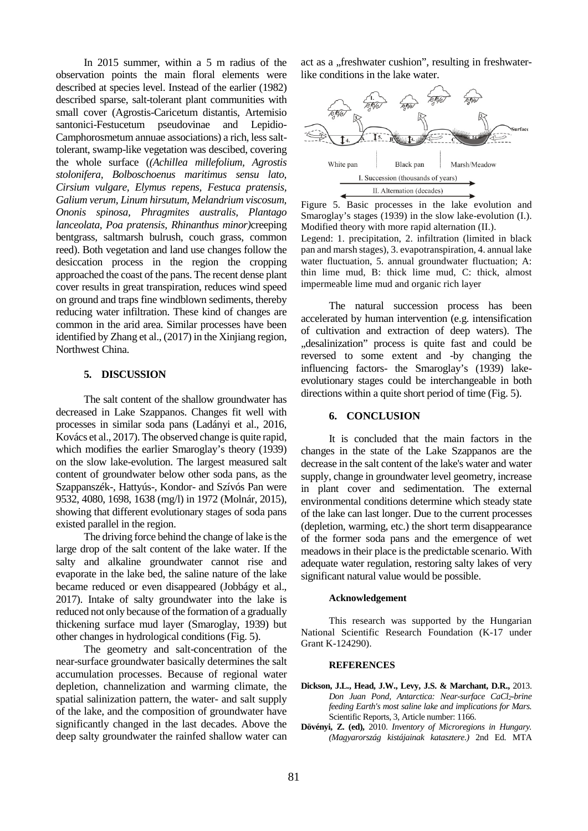In 2015 summer, within a 5 m radius of the observation points the main floral elements were described at species level. Instead of the earlier (1982) described sparse, salt-tolerant plant communities with small cover (Agrostis-Caricetum distantis, Artemisio santonici-Festucetum pseudovinae and Lepidio-Camphorosmetum annuae associations) a rich, less salttolerant, swamp-like vegetation was descibed, covering the whole surface (*(Achillea millefolium, Agrostis stolonifera, Bolboschoenus maritimus sensu lato, Cirsium vulgare, Elymus repens, Festuca pratensis, Galium verum, Linum hirsutum, Melandrium viscosum, Ononis spinosa, Phragmites australis, Plantago lanceolata, Poa pratensis, Rhinanthus minor)*creeping bentgrass, saltmarsh bulrush, couch grass, common reed). Both vegetation and land use changes follow the desiccation process in the region the cropping approached the coast of the pans. The recent dense plant cover results in great transpiration, reduces wind speed on ground and traps fine windblown sediments, thereby reducing water infiltration. These kind of changes are common in the arid area. Similar processes have been identified by Zhang et al., (2017) in the Xinjiang region, Northwest China.

## **5. DISCUSSION**

The salt content of the shallow groundwater has decreased in Lake Szappanos. Changes fit well with processes in similar soda pans (Ladányi et al., 2016, Kovács et al., 2017). The observed change is quite rapid, which modifies the earlier Smaroglay's theory (1939) on the slow lake-evolution. The largest measured salt content of groundwater below other soda pans, as the Szappanszék-, Hattyús-, Kondor- and Szívós Pan were 9532, 4080, 1698, 1638 (mg/l) in 1972 (Molnár, 2015), showing that different evolutionary stages of soda pans existed parallel in the region.

The driving force behind the change of lake is the large drop of the salt content of the lake water. If the salty and alkaline groundwater cannot rise and evaporate in the lake bed, the saline nature of the lake became reduced or even disappeared (Jobbágy et al., 2017). Intake of salty groundwater into the lake is reduced not only because of the formation of a gradually thickening surface mud layer (Smaroglay, 1939) but other changes in hydrological conditions (Fig. 5).

The geometry and salt-concentration of the near-surface groundwater basically determines the salt accumulation processes. Because of regional water depletion, channelization and warming climate, the spatial salinization pattern, the water- and salt supply of the lake, and the composition of groundwater have significantly changed in the last decades. Above the deep salty groundwater the rainfed shallow water can

act as a "freshwater cushion", resulting in freshwaterlike conditions in the lake water.



Figure 5. Basic processes in the lake evolution and Smaroglay's stages (1939) in the slow lake-evolution (I.). Modified theory with more rapid alternation (II.).

Legend: 1. precipitation, 2. infiltration (limited in black pan and marsh stages), 3. evapotranspiration, 4. annual lake water fluctuation, 5. annual groundwater fluctuation; A: thin lime mud, B: thick lime mud, C: thick, almost impermeable lime mud and organic rich layer

The natural succession process has been accelerated by human intervention (e.g. intensification of cultivation and extraction of deep waters). The "desalinization" process is quite fast and could be reversed to some extent and -by changing the influencing factors- the Smaroglay's (1939) lakeevolutionary stages could be interchangeable in both directions within a quite short period of time (Fig. 5).

#### **6. CONCLUSION**

It is concluded that the main factors in the changes in the state of the Lake Szappanos are the decrease in the salt content of the lake's water and water supply, change in groundwater level geometry, increase in plant cover and sedimentation. The external environmental conditions determine which steady state of the lake can last longer. Due to the current processes (depletion, warming, etc.) the short term disappearance of the former soda pans and the emergence of wet meadows in their place is the predictable scenario. With adequate water regulation, restoring salty lakes of very significant natural value would be possible.

#### **Acknowledgement**

This research was supported by the Hungarian National Scientific Research Foundation (K-17 under Grant K-124290).

#### **REFERENCES**

- **Dickson, J.L., Head, J.W., Levy, J.S. & Marchant, D.R.,** 2013. *Don Juan Pond, Antarctica: Near-surface CaCl2-brine feeding Earth's most saline lake and implications for Mars.* Scientific Reports, 3, Article number: 1166.
- **Dövényi, Z. (ed),** 2010. *Inventory of Microregions in Hungary. (Magyarország kistájainak katasztere.)* 2nd Ed. MTA